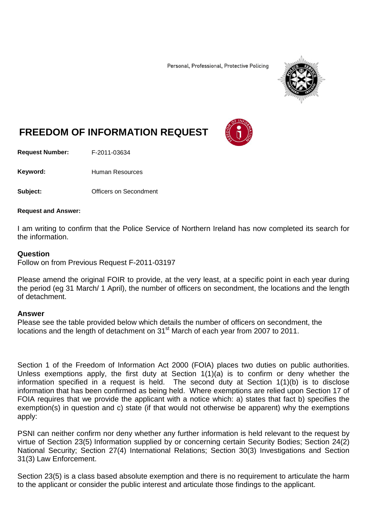Personal, Professional, Protective Policing



# **FREEDOM OF INFORMATION REQUEST**

**Request Number:** F-2011-03634

Keyword: Human Resources

**Subject: Conditional Officers on Secondment** 

#### **Request and Answer:**

I am writing to confirm that the Police Service of Northern Ireland has now completed its search for the information.

#### **Question**

Follow on from Previous Request F-2011-03197

Please amend the original FOIR to provide, at the very least, at a specific point in each year during the period (eg 31 March/ 1 April), the number of officers on secondment, the locations and the length of detachment.

#### **Answer**

Please see the table provided below which details the number of officers on secondment, the locations and the length of detachment on 31<sup>st</sup> March of each year from 2007 to 2011.

Section 1 of the Freedom of Information Act 2000 (FOIA) places two duties on public authorities. Unless exemptions apply, the first duty at Section 1(1)(a) is to confirm or deny whether the information specified in a request is held. The second duty at Section 1(1)(b) is to disclose information that has been confirmed as being held. Where exemptions are relied upon Section 17 of FOIA requires that we provide the applicant with a notice which: a) states that fact b) specifies the exemption(s) in question and c) state (if that would not otherwise be apparent) why the exemptions apply:

PSNI can neither confirm nor deny whether any further information is held relevant to the request by virtue of Section 23(5) Information supplied by or concerning certain Security Bodies; Section 24(2) National Security; Section 27(4) International Relations; Section 30(3) Investigations and Section 31(3) Law Enforcement.

Section 23(5) is a class based absolute exemption and there is no requirement to articulate the harm to the applicant or consider the public interest and articulate those findings to the applicant.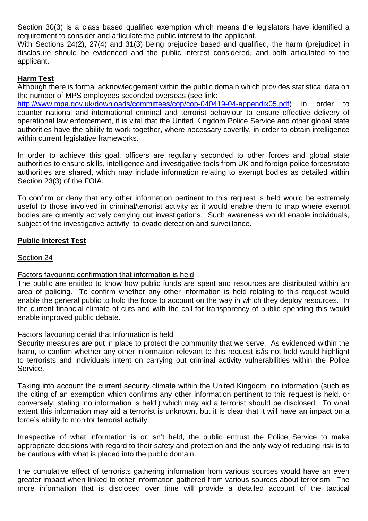Section 30(3) is a class based qualified exemption which means the legislators have identified a requirement to consider and articulate the public interest to the applicant.

With Sections 24(2), 27(4) and 31(3) being prejudice based and qualified, the harm (prejudice) in disclosure should be evidenced and the public interest considered, and both articulated to the applicant.

## **Harm Test**

Although there is formal acknowledgement within the public domain which provides statistical data on the number of MPS employees seconded overseas (see link:

[http://www.mpa.gov.uk/downloads/committees/cop/cop-040419-04-appendix05.pdf\)](http://www.mpa.gov.uk/downloads/committees/cop/cop-040419-04-appendix05.pdf) in order to counter national and international criminal and terrorist behaviour to ensure effective delivery of operational law enforcement, it is vital that the United Kingdom Police Service and other global state authorities have the ability to work together, where necessary covertly, in order to obtain intelligence within current legislative frameworks.

In order to achieve this goal, officers are regularly seconded to other forces and global state authorities to ensure skills, intelligence and investigative tools from UK and foreign police forces/state authorities are shared, which may include information relating to exempt bodies as detailed within Section 23(3) of the FOIA.

To confirm or deny that any other information pertinent to this request is held would be extremely useful to those involved in criminal/terrorist activity as it would enable them to map where exempt bodies are currently actively carrying out investigations. Such awareness would enable individuals, subject of the investigative activity, to evade detection and surveillance.

## **Public Interest Test**

### Section 24

## Factors favouring confirmation that information is held

The public are entitled to know how public funds are spent and resources are distributed within an area of policing. To confirm whether any other information is held relating to this request would enable the general public to hold the force to account on the way in which they deploy resources. In the current financial climate of cuts and with the call for transparency of public spending this would enable improved public debate.

#### Factors favouring denial that information is held

Security measures are put in place to protect the community that we serve. As evidenced within the harm, to confirm whether any other information relevant to this request is/is not held would highlight to terrorists and individuals intent on carrying out criminal activity vulnerabilities within the Police Service.

Taking into account the current security climate within the United Kingdom, no information (such as the citing of an exemption which confirms any other information pertinent to this request is held, or conversely, stating 'no information is held') which may aid a terrorist should be disclosed. To what extent this information may aid a terrorist is unknown, but it is clear that it will have an impact on a force's ability to monitor terrorist activity.

Irrespective of what information is or isn't held, the public entrust the Police Service to make appropriate decisions with regard to their safety and protection and the only way of reducing risk is to be cautious with what is placed into the public domain.

The cumulative effect of terrorists gathering information from various sources would have an even greater impact when linked to other information gathered from various sources about terrorism. The more information that is disclosed over time will provide a detailed account of the tactical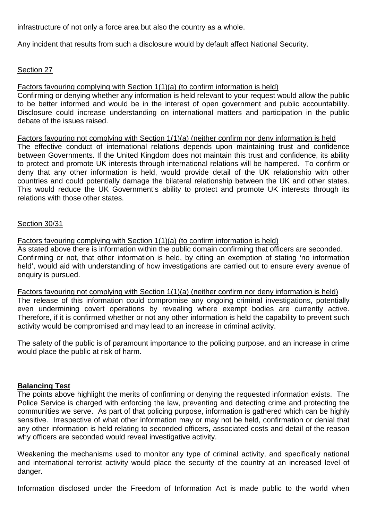infrastructure of not only a force area but also the country as a whole.

Any incident that results from such a disclosure would by default affect National Security.

# Section 27

# Factors favouring complying with Section 1(1)(a) (to confirm information is held)

Confirming or denying whether any information is held relevant to your request would allow the public to be better informed and would be in the interest of open government and public accountability. Disclosure could increase understanding on international matters and participation in the public debate of the issues raised.

Factors favouring not complying with Section 1(1)(a) (neither confirm nor deny information is held The effective conduct of international relations depends upon maintaining trust and confidence between Governments. If the United Kingdom does not maintain this trust and confidence, its ability to protect and promote UK interests through international relations will be hampered. To confirm or deny that any other information is held, would provide detail of the UK relationship with other countries and could potentially damage the bilateral relationship between the UK and other states. This would reduce the UK Government's ability to protect and promote UK interests through its relations with those other states.

# Section 30/31

Factors favouring complying with Section 1(1)(a) (to confirm information is held)

As stated above there is information within the public domain confirming that officers are seconded. Confirming or not, that other information is held, by citing an exemption of stating 'no information held', would aid with understanding of how investigations are carried out to ensure every avenue of enquiry is pursued.

Factors favouring not complying with Section 1(1)(a) (neither confirm nor deny information is held) The release of this information could compromise any ongoing criminal investigations, potentially even undermining covert operations by revealing where exempt bodies are currently active. Therefore, if it is confirmed whether or not any other information is held the capability to prevent such activity would be compromised and may lead to an increase in criminal activity.

The safety of the public is of paramount importance to the policing purpose, and an increase in crime would place the public at risk of harm.

# **Balancing Test**

The points above highlight the merits of confirming or denying the requested information exists. The Police Service is charged with enforcing the law, preventing and detecting crime and protecting the communities we serve. As part of that policing purpose, information is gathered which can be highly sensitive. Irrespective of what other information may or may not be held, confirmation or denial that any other information is held relating to seconded officers, associated costs and detail of the reason why officers are seconded would reveal investigative activity.

Weakening the mechanisms used to monitor any type of criminal activity, and specifically national and international terrorist activity would place the security of the country at an increased level of danger.

Information disclosed under the Freedom of Information Act is made public to the world when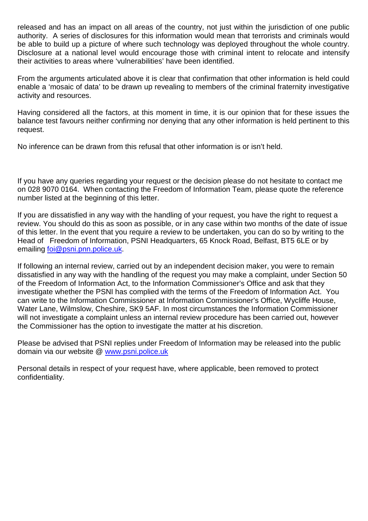released and has an impact on all areas of the country, not just within the jurisdiction of one public authority. A series of disclosures for this information would mean that terrorists and criminals would be able to build up a picture of where such technology was deployed throughout the whole country. Disclosure at a national level would encourage those with criminal intent to relocate and intensify their activities to areas where 'vulnerabilities' have been identified.

From the arguments articulated above it is clear that confirmation that other information is held could enable a 'mosaic of data' to be drawn up revealing to members of the criminal fraternity investigative activity and resources.

Having considered all the factors, at this moment in time, it is our opinion that for these issues the balance test favours neither confirming nor denying that any other information is held pertinent to this request.

No inference can be drawn from this refusal that other information is or isn't held.

If you have any queries regarding your request or the decision please do not hesitate to contact me on 028 9070 0164. When contacting the Freedom of Information Team, please quote the reference number listed at the beginning of this letter.

If you are dissatisfied in any way with the handling of your request, you have the right to request a review. You should do this as soon as possible, or in any case within two months of the date of issue of this letter. In the event that you require a review to be undertaken, you can do so by writing to the Head of Freedom of Information, PSNI Headquarters, 65 Knock Road, Belfast, BT5 6LE or by emailing [foi@psni.pnn.police.uk.](mailto:foi@psni.pnn.police.uk)

If following an internal review, carried out by an independent decision maker, you were to remain dissatisfied in any way with the handling of the request you may make a complaint, under Section 50 of the Freedom of Information Act, to the Information Commissioner's Office and ask that they investigate whether the PSNI has complied with the terms of the Freedom of Information Act. You can write to the Information Commissioner at Information Commissioner's Office, Wycliffe House, Water Lane, Wilmslow, Cheshire, SK9 5AF. In most circumstances the Information Commissioner will not investigate a complaint unless an internal review procedure has been carried out, however the Commissioner has the option to investigate the matter at his discretion.

Please be advised that PSNI replies under Freedom of Information may be released into the public domain via our website @ [www.psni.police.uk](http://www.psni.police.uk/)

Personal details in respect of your request have, where applicable, been removed to protect confidentiality.